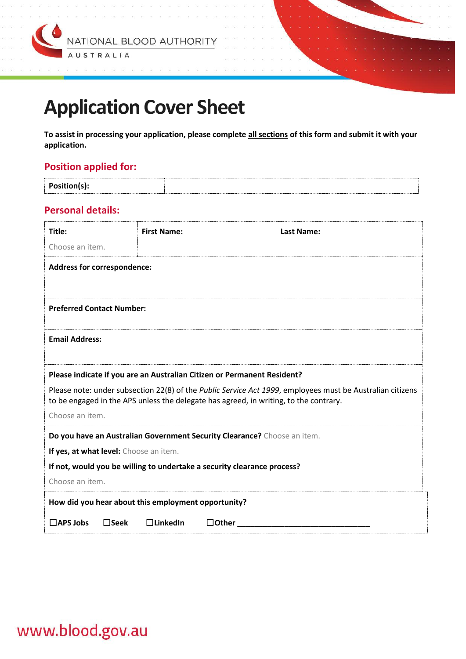

# **Application Cover Sheet**

**To assist in processing your application, please complete all sections of this form and submit it with your application.**

## **Position applied for:**

| Position(s): |  |
|--------------|--|
|              |  |

#### **Personal details:**

| Title:                                                                                                                                                                                             | <b>First Name:</b> | Last Name: |  |
|----------------------------------------------------------------------------------------------------------------------------------------------------------------------------------------------------|--------------------|------------|--|
| Choose an item.                                                                                                                                                                                    |                    |            |  |
| <b>Address for correspondence:</b>                                                                                                                                                                 |                    |            |  |
|                                                                                                                                                                                                    |                    |            |  |
| <b>Preferred Contact Number:</b>                                                                                                                                                                   |                    |            |  |
| <b>Email Address:</b>                                                                                                                                                                              |                    |            |  |
| Please indicate if you are an Australian Citizen or Permanent Resident?                                                                                                                            |                    |            |  |
| Please note: under subsection 22(8) of the Public Service Act 1999, employees must be Australian citizens<br>to be engaged in the APS unless the delegate has agreed, in writing, to the contrary. |                    |            |  |
| Choose an item.                                                                                                                                                                                    |                    |            |  |
| Do you have an Australian Government Security Clearance? Choose an item.                                                                                                                           |                    |            |  |
| If yes, at what level: Choose an item.                                                                                                                                                             |                    |            |  |
| If not, would you be willing to undertake a security clearance process?                                                                                                                            |                    |            |  |
| Choose an item.                                                                                                                                                                                    |                    |            |  |
| How did you hear about this employment opportunity?                                                                                                                                                |                    |            |  |
| $\Box$ APS Jobs<br>$\square$ Seek<br>$\Box$ LinkedIn<br>$\Box$ Other                                                                                                                               |                    |            |  |

## www.blood.gov.au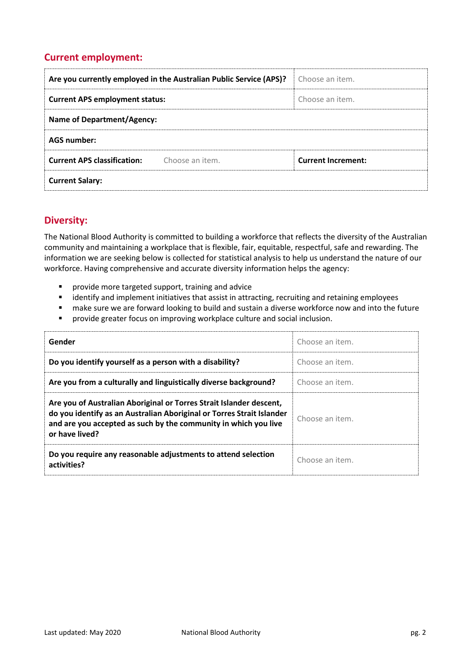## **Current employment:**

| Are you currently employed in the Australian Public Service (APS)? |                 | Choose an item.           |
|--------------------------------------------------------------------|-----------------|---------------------------|
| <b>Current APS employment status:</b>                              |                 | Choose an item.           |
| <b>Name of Department/Agency:</b>                                  |                 |                           |
| <b>AGS number:</b>                                                 |                 |                           |
| <b>Current APS classification:</b>                                 | Choose an item. | <b>Current Increment:</b> |
| <b>Current Salary:</b>                                             |                 |                           |

#### **Diversity:**

The National Blood Authority is committed to building a workforce that reflects the diversity of the Australian community and maintaining a workplace that is flexible, fair, equitable, respectful, safe and rewarding. The information we are seeking below is collected for statistical analysis to help us understand the nature of our workforce. Having comprehensive and accurate diversity information helps the agency:

- provide more targeted support, training and advice
- identify and implement initiatives that assist in attracting, recruiting and retaining employees
- make sure we are forward looking to build and sustain a diverse workforce now and into the future
- provide greater focus on improving workplace culture and social inclusion.

| Gender                                                                                                                                                                                                                            | Choose an item. |
|-----------------------------------------------------------------------------------------------------------------------------------------------------------------------------------------------------------------------------------|-----------------|
| Do you identify yourself as a person with a disability?                                                                                                                                                                           | Choose an item. |
| Are you from a culturally and linguistically diverse background?                                                                                                                                                                  | Choose an item. |
| Are you of Australian Aboriginal or Torres Strait Islander descent,<br>do you identify as an Australian Aboriginal or Torres Strait Islander<br>and are you accepted as such by the community in which you live<br>or have lived? | Choose an item. |
| Do you require any reasonable adjustments to attend selection<br>activities?                                                                                                                                                      | Choose an item. |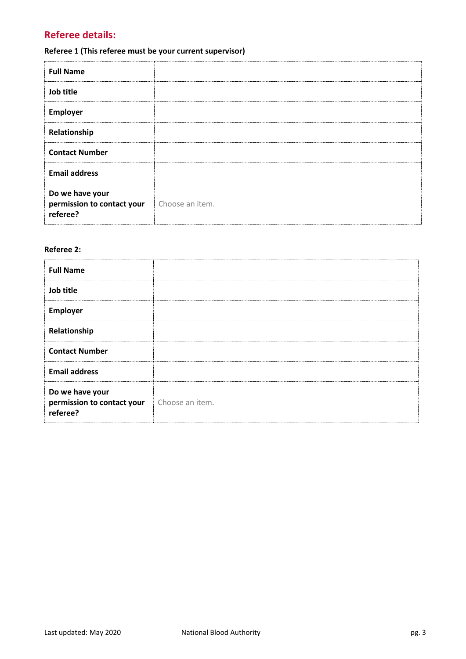## **Referee details:**

## **Referee 1 (This referee must be your current supervisor)**

| <b>Full Name</b>                                          |                 |
|-----------------------------------------------------------|-----------------|
| Job title                                                 |                 |
| <b>Employer</b>                                           |                 |
| Relationship                                              |                 |
| <b>Contact Number</b>                                     |                 |
| <b>Email address</b>                                      |                 |
| Do we have your<br>permission to contact your<br>referee? | Choose an item. |

#### **Referee 2:**

| <b>Full Name</b>                                          |                 |
|-----------------------------------------------------------|-----------------|
| Job title                                                 |                 |
| Employer                                                  |                 |
| Relationship                                              |                 |
| <b>Contact Number</b>                                     |                 |
| <b>Email address</b>                                      |                 |
| Do we have your<br>permission to contact your<br>referee? | Choose an item. |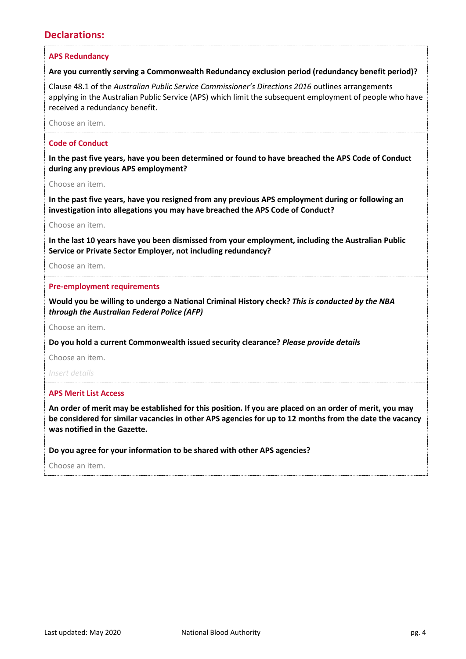## **Declarations:**

#### **APS Redundancy**

#### **Are you currently serving a Commonwealth Redundancy exclusion period (redundancy benefit period)?**

Clause 48.1 of the *Australian Public Service Commissioner's Directions 2016* outlines arrangements applying in the Australian Public Service (APS) which limit the subsequent employment of people who have received a redundancy benefit.

Choose an item.

#### **Code of Conduct**

**In the past five years, have you been determined or found to have breached the APS Code of Conduct during any previous APS employment?**

Choose an item.

**In the past five years, have you resigned from any previous APS employment during or following an investigation into allegations you may have breached the APS Code of Conduct?**

Choose an item.

**In the last 10 years have you been dismissed from your employment, including the Australian Public Service or Private Sector Employer, not including redundancy?**

Choose an item.

#### **Pre-employment requirements**

**Would you be willing to undergo a National Criminal History check?** *This is conducted by the NBA through the Australian Federal Police (AFP)*

Choose an item.

**Do you hold a current Commonwealth issued security clearance?** *Please provide details*

Choose an item.

*Insert details*

#### **APS Merit List Access**

**An order of merit may be established for this position. If you are placed on an order of merit, you may be considered for similar vacancies in other APS agencies for up to 12 months from the date the vacancy was notified in the Gazette.**

**Do you agree for your information to be shared with other APS agencies?**

Choose an item.